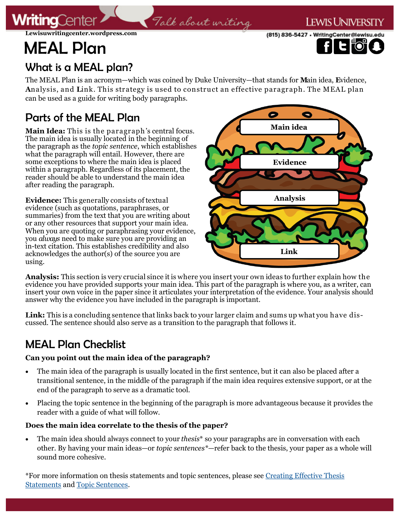**Lewisuwritingcenter.wordpress.com**

# MEAL Plan

**ritina**Cente





## What is a MEAL plan?

The MEAL Plan is an acronym—which was coined by Duke University—that stands for **M**ain idea, **E**vidence, **A**nalysis, and **L**ink. This strategy is used to construct an effective paragraph. The MEAL plan can be used as a guide for writing body paragraphs.

Talk about writing

# Parts of the MEAL Plan

**Main Idea:** This is the paragraph's central focus. The main idea is usually located in the beginning of the paragraph as the *topic sentence*, which establishes what the paragraph will entail. However, there are some exceptions to where the main idea is placed within a paragraph. Regardless of its placement, the reader should be able to understand the main idea after reading the paragraph.

**Evidence:** This generally consists of textual evidence (such as quotations, paraphrases, or summaries) from the text that you are writing about or any other resources that support your main idea. When you are quoting or paraphrasing your evidence, you *always* need to make sure you are providing an in-text citation. This establishes credibility and also acknowledges the author(s) of the source you are using.



**Analysis:** This section is very crucial since it is where you insert your own ideas to further explain how the evidence you have provided supports your main idea. This part of the paragraph is where you, as a writer, can insert your own voice in the paper since it articulates your interpretation of the evidence. Your analysis should answer why the evidence you have included in the paragraph is important.

**Link:** This is a concluding sentence that links back to your larger claim and sums up what you have discussed. The sentence should also serve as a transition to the paragraph that follows it.

## MEAL Plan Checklist

#### **Can you point out the main idea of the paragraph?**

- The main idea of the paragraph is usually located in the first sentence, but it can also be placed after a transitional sentence, in the middle of the paragraph if the main idea requires extensive support, or at the end of the paragraph to serve as a dramatic tool.
- Placing the topic sentence in the beginning of the paragraph is more advantageous because it provides the reader with a guide of what will follow.

#### **Does the main idea correlate to the thesis of the paper?**

 The main idea should always connect to your *thesis*\* so your paragraphs are in conversation with each other. By having your main ideas—or *topic sentences\**—refer back to the thesis, your paper as a whole will sound more cohesive.

\*For more information on thesis statements and topic sentences, please see [Creating Effective Thesis](https://lewisuwritingcenter.files.wordpress.com/2014/02/thesis-statement.pdf)  [Statements](https://lewisuwritingcenter.files.wordpress.com/2014/02/thesis-statement.pdf) and [Topic Sentences.](https://lewisuwritingcenter.files.wordpress.com/2014/02/topic-sentence.pdf)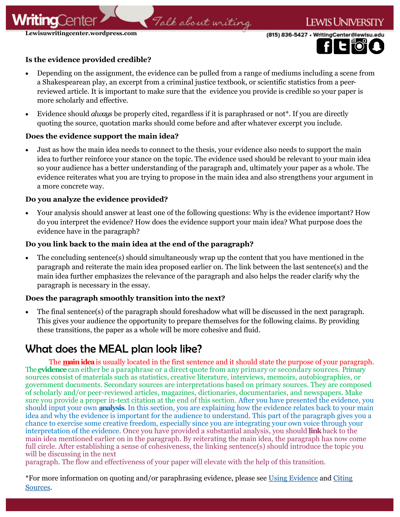**Lewisuwritingcenter.wordpress.com**

itina

(815) 836-5427 · WritingCenter@lewisu.edu



#### **Is the evidence provided credible?**

 Depending on the assignment, the evidence can be pulled from a range of mediums including a scene from a Shakespearean play, an excerpt from a criminal justice textbook, or scientific statistics from a peerreviewed article. It is important to make sure that the evidence you provide is credible so your paper is more scholarly and effective.

Talk about writing

 Evidence should *always* be properly cited, regardless if it is paraphrased or not\*. If you are directly quoting the source, quotation marks should come before and after whatever excerpt you include.

#### **Does the evidence support the main idea?**

 Just as how the main idea needs to connect to the thesis, your evidence also needs to support the main idea to further reinforce your stance on the topic. The evidence used should be relevant to your main idea so your audience has a better understanding of the paragraph and, ultimately your paper as a whole. The evidence reiterates what you are trying to propose in the main idea and also strengthens your argument in a more concrete way.

#### **Do you analyze the evidence provided?**

 Your analysis should answer at least one of the following questions: Why is the evidence important? How do you interpret the evidence? How does the evidence support your main idea? What purpose does the evidence have in the paragraph?

#### **Do you link back to the main idea at the end of the paragraph?**

 The concluding sentence(s) should simultaneously wrap up the content that you have mentioned in the paragraph and reiterate the main idea proposed earlier on. The link between the last sentence(s) and the main idea further emphasizes the relevance of the paragraph and also helps the reader clarify why the paragraph is necessary in the essay.

#### **Does the paragraph smoothly transition into the next?**

 The final sentence(s) of the paragraph should foreshadow what will be discussed in the next paragraph. This gives your audience the opportunity to prepare themselves for the following claims. By providing these transitions, the paper as a whole will be more cohesive and fluid.

### What does the MEAL plan look like?

The **main idea** is usually located in the first sentence and it should state the purpose of your paragraph. The**evidence** can either be a paraphrase or a direct quote from any primary or secondary sources. Primary sources consist of materials such as statistics, creative literature, interviews, memoirs, autobiographies, or government documents. Secondary sources are interpretations based on primary sources. They are composed of scholarly and/or peer-reviewed articles, magazines, dictionaries, documentaries, and newspapers. Make sure you provide a proper in-text citation at the end of this section. After you have presented the evidence, you should input your own **analysis**. In this section, you are explaining how the evidence relates back to your main idea and why the evidence is important for the audience to understand. This part of the paragraph gives you a chance to exercise some creative freedom, especially since you are integrating your own voice through your interpretation of the evidence. Once you have provided a substantial analysis, you should **link** back to the main idea mentioned earlier on in the paragraph. By reiterating the main idea, the paragraph has now come full circle. After establishing a sense of cohesiveness, the linking sentence(s) should introduce the topic you will be discussing in the next

paragraph. The flow and effectiveness of your paper will elevate with the help of this transition.

\*For more information on quoting and/or paraphrasing evidence, please see [Using Evidence](https://lewisuwritingcenter.files.wordpress.com/2014/02/taylor-updated-source.pdf) and [Citing](https://lewisuwritingcenter.files.wordpress.com/2014/02/citing-sources-2-0.pdf)  [Sources.](https://lewisuwritingcenter.files.wordpress.com/2014/02/citing-sources-2-0.pdf)